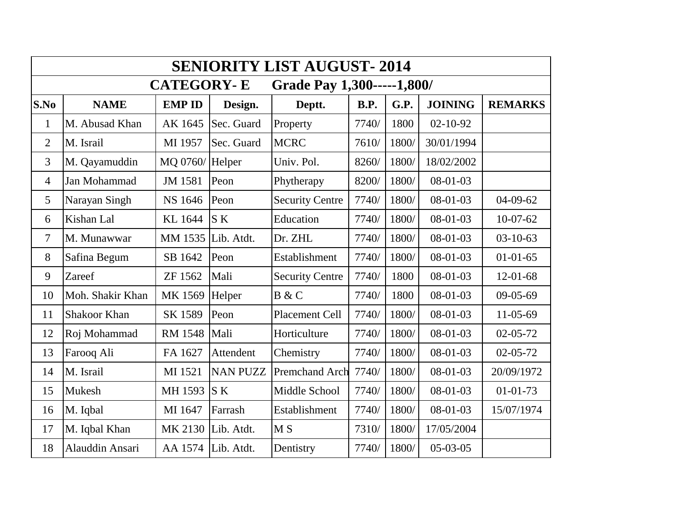| <b>SENIORITY LIST AUGUST-2014</b>               |                  |                |                 |                        |             |       |                |                |  |  |  |  |
|-------------------------------------------------|------------------|----------------|-----------------|------------------------|-------------|-------|----------------|----------------|--|--|--|--|
| <b>CATEGORY-E</b><br>Grade Pay 1,300-----1,800/ |                  |                |                 |                        |             |       |                |                |  |  |  |  |
| S.No                                            | <b>NAME</b>      | <b>EMP ID</b>  | Design.         | Deptt.                 | <b>B.P.</b> | G.P.  | <b>JOINING</b> | <b>REMARKS</b> |  |  |  |  |
| $\mathbf{1}$                                    | M. Abusad Khan   | AK 1645        | Sec. Guard      | Property               | 7740/       | 1800  | $02 - 10 - 92$ |                |  |  |  |  |
| $\overline{2}$                                  | M. Israil        | MI 1957        | Sec. Guard      | <b>MCRC</b>            | 7610/       | 1800/ | 30/01/1994     |                |  |  |  |  |
| 3                                               | M. Qayamuddin    | MQ 0760/       | Helper          | Univ. Pol.             | 8260/       | 1800/ | 18/02/2002     |                |  |  |  |  |
| $\overline{4}$                                  | Jan Mohammad     | JM 1581        | Peon            | Phytherapy             | 8200/       | 1800/ | $08-01-03$     |                |  |  |  |  |
| 5                                               | Narayan Singh    | NS 1646        | Peon            | <b>Security Centre</b> | 7740/       | 1800/ | $08-01-03$     | $04-09-62$     |  |  |  |  |
| 6                                               | Kishan Lal       | KL 1644        | S K             | Education              | 7740/       | 1800/ | 08-01-03       | $10-07-62$     |  |  |  |  |
| $\overline{7}$                                  | M. Munawwar      | MM 1535        | Lib. Atdt.      | Dr. ZHL                | 7740/       | 1800/ | $08-01-03$     | $03 - 10 - 63$ |  |  |  |  |
| 8                                               | Safina Begum     | SB 1642        | Peon            | Establishment          | 7740/       | 1800/ | 08-01-03       | $01 - 01 - 65$ |  |  |  |  |
| 9                                               | Zareef           | ZF 1562        | Mali            | <b>Security Centre</b> | 7740/       | 1800  | $08-01-03$     | $12 - 01 - 68$ |  |  |  |  |
| 10                                              | Moh. Shakir Khan | MK 1569        | Helper          | B & C                  | 7740/       | 1800  | 08-01-03       | $09-05-69$     |  |  |  |  |
| 11                                              | Shakoor Khan     | SK 1589        | Peon            | Placement Cell         | 7740/       | 1800/ | 08-01-03       | $11-05-69$     |  |  |  |  |
| 12                                              | Roj Mohammad     | <b>RM 1548</b> | Mali            | Horticulture           | 7740/       | 1800/ | $08-01-03$     | 02-05-72       |  |  |  |  |
| 13                                              | Farooq Ali       | FA 1627        | Attendent       | Chemistry              | 7740/       | 1800/ | 08-01-03       | 02-05-72       |  |  |  |  |
| 14                                              | M. Israil        | MI 1521        | <b>NAN PUZZ</b> | <b>Premchand Arch</b>  | 7740/       | 1800/ | 08-01-03       | 20/09/1972     |  |  |  |  |
| 15                                              | Mukesh           | MH 1593        | <b>SK</b>       | Middle School          | 7740/       | 1800/ | 08-01-03       | $01 - 01 - 73$ |  |  |  |  |
| 16                                              | M. Iqbal         | MI 1647        | Farrash         | Establishment          | 7740/       | 1800/ | 08-01-03       | 15/07/1974     |  |  |  |  |
| 17                                              | M. Iqbal Khan    | MK 2130        | Lib. Atdt.      | M <sub>S</sub>         | 7310/       | 1800/ | 17/05/2004     |                |  |  |  |  |
| 18                                              | Alauddin Ansari  | AA 1574        | Lib. Atdt.      | Dentistry              | 7740/       | 1800/ | $05-03-05$     |                |  |  |  |  |